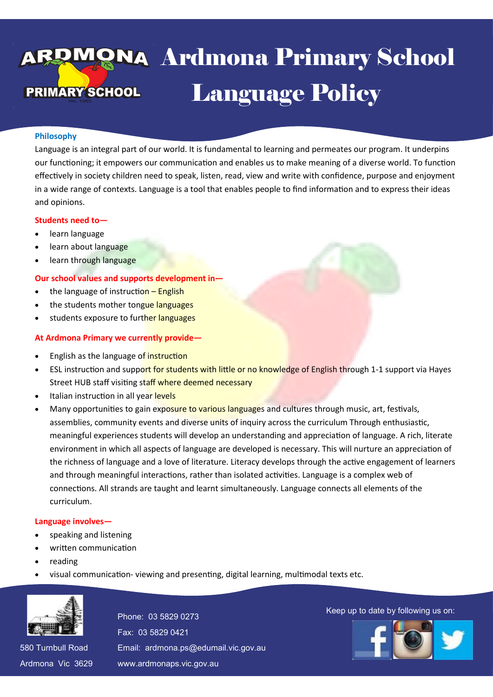# **4 Ardmona Primary School** E Language Policy

#### **Philosophy**

Language is an integral part of our world. It is fundamental to learning and permeates our program. It underpins our functioning; it empowers our communication and enables us to make meaning of a diverse world. To function effectively in society children need to speak, listen, read, view and write with confidence, purpose and enjoyment in a wide range of contexts. Language is a tool that enables people to find information and to express their ideas and opinions.

#### **Students need to—**

- learn language
- learn about language
- learn through language

# **Our school values and supports development in—**

- $\bullet$  the language of instruction English
- the students mother tongue languages
- students exposure to further languages

#### **At Ardmona Primary we currently provide—**

- English as the language of instruction
- ESL instruction and support for students with little or no knowledge of English through 1-1 support via Hayes Street HUB staff visiting staff where deemed necessary
- Italian instruction in all year levels
- Many opportunities to gain exposure to various languages and cultures through music, art, festivals, assemblies, community events and diverse units of inquiry across the curriculum Through enthusiastic, meaningful experiences students will develop an understanding and appreciation of language. A rich, literate environment in which all aspects of language are developed is necessary. This will nurture an appreciation of the richness of language and a love of literature. Literacy develops through the active engagement of learners and through meaningful interactions, rather than isolated activities. Language is a complex web of connections. All strands are taught and learnt simultaneously. Language connects all elements of the curriculum.

#### **Language involves—**

- speaking and listening
- written communication
- reading
- visual communication- viewing and presenting, digital learning, multimodal texts etc.



580 Turnbull Road 580 Turnbull Road Ardmona Vic 3629 Ardmona Vic 3629 Fax: 03 5829 0421 Fax: 03 5829 0421 Email: ardmona.ps@edumail.vic.gov.au Email: ardmona.ps@edumail.vic.gov.au www.ardmonaps.vic.gov.au www.ardmonaps.vic.gov.au

# Thone: 03 5829 0273<br>Phone: 03 5829 0273

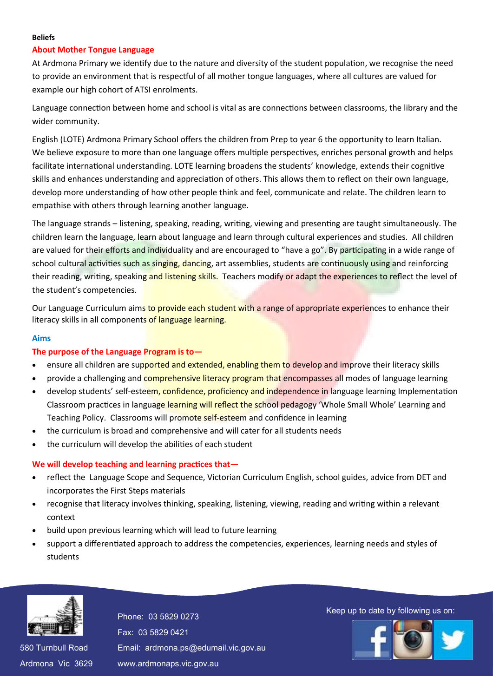#### **Beliefs**

#### **About Mother Tongue Language**

At Ardmona Primary we identify due to the nature and diversity of the student population, we recognise the need to provide an environment that is respectful of all mother tongue languages, where all cultures are valued for example our high cohort of ATSI enrolments.

Language connection between home and school is vital as are connections between classrooms, the library and the wider community.

English (LOTE) Ardmona Primary School offers the children from Prep to year 6 the opportunity to learn Italian. We believe exposure to more than one language offers multiple perspectives, enriches personal growth and helps facilitate international understanding. LOTE learning broadens the students' knowledge, extends their cognitive skills and enhances understanding and appreciation of others. This allows them to reflect on their own language, develop more understanding of how other people think and feel, communicate and relate. The children learn to empathise with others through learning another language.

The language strands – listening, speaking, reading, writing, viewing and presenting are taught simultaneously. The children learn the language, learn about language and learn through cultural experiences and studies. All children are valued for their efforts and individuality and are encouraged to "have a go". By participating in a wide range of school cultural activities such as singing, dancing, art assemblies, students are continuously using and reinforcing their reading, writing, speaking and listening skills. Teachers modify or adapt the experiences to reflect the level of the student's competencies.

Our Language Curriculum aims to provide each student with a range of appropriate experiences to enhance their literacy skills in all components of language learning.

#### **Aims**

## **The purpose of the Language Program is to—**

- ensure all children are supported and extended, enabling them to develop and improve their literacy skills
- provide a challenging and **comprehensive literacy program that encompasses all** modes of language learning
- develop students' self-esteem, confidence, proficiency and independence in language learning Implementation Classroom practices in language learning will reflect the school pedagogy 'Whole Small Whole' Learning and Teaching Policy. Classrooms will promote self-esteem and confidence in learning
- the curriculum is broad and comprehensive and will cater for all students needs
- the curriculum will develop the abilities of each student

### **We will develop teaching and learning practices that—**

- reflect the Language Scope and Sequence, Victorian Curriculum English, school guides, advice from DET and incorporates the First Steps materials
- recognise that literacy involves thinking, speaking, listening, viewing, reading and writing within a relevant context
- build upon previous learning which will lead to future learning
- support a differentiated approach to address the competencies, experiences, learning needs and styles of students



580 Turnbull Road 580 Turnbull Road Ardmona Vic 3629 Ardmona Vic 3629 Fax: 03 5829 0421 Fax: 03 5829 0421 Email: ardmona.ps@edumail.vic.gov.au Email: ardmona.ps@edumail.vic.gov.au www.ardmonaps.vic.gov.au www.ardmonaps.vic.gov.au

Thone: 03 5829 0273<br>Phone: 03 5829 0273